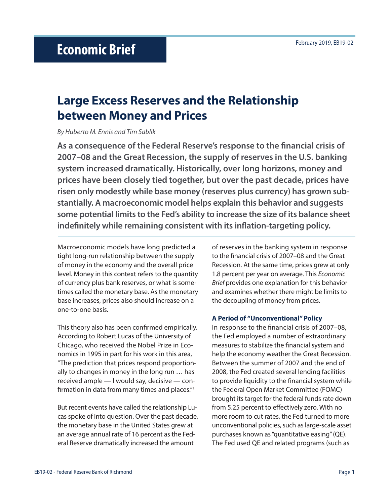# **Large Excess Reserves and the Relationship between Money and Prices**

*By Huberto M. Ennis and Tim Sablik*

**As a consequence of the Federal Reserve's response to the financial crisis of 2007–08 and the Great Recession, the supply of reserves in the U.S. banking system increased dramatically. Historically, over long horizons, money and prices have been closely tied together, but over the past decade, prices have risen only modestly while base money (reserves plus currency) has grown substantially. A macroeconomic model helps explain this behavior and suggests some potential limits to the Fed's ability to increase the size of its balance sheet indefinitely while remaining consistent with its inflation-targeting policy.**

Macroeconomic models have long predicted a tight long-run relationship between the supply of money in the economy and the overall price level. Money in this context refers to the quantity of currency plus bank reserves, or what is sometimes called the monetary base. As the monetary base increases, prices also should increase on a one-to-one basis.

This theory also has been confirmed empirically. According to Robert Lucas of the University of Chicago, who received the Nobel Prize in Economics in 1995 in part for his work in this area, "The prediction that prices respond proportionally to changes in money in the long run … has received ample — I would say, decisive — confirmation in data from many times and places."1

But recent events have called the relationship Lucas spoke of into question. Over the past decade, the monetary base in the United States grew at an average annual rate of 16 percent as the Federal Reserve dramatically increased the amount

of reserves in the banking system in response to the financial crisis of 2007–08 and the Great Recession. At the same time, prices grew at only 1.8 percent per year on average. This *Economic Brief* provides one explanation for this behavior and examines whether there might be limits to the decoupling of money from prices.

## **A Period of "Unconventional" Policy**

In response to the financial crisis of 2007–08, the Fed employed a number of extraordinary measures to stabilize the financial system and help the economy weather the Great Recession. Between the summer of 2007 and the end of 2008, the Fed created several lending facilities to provide liquidity to the financial system while the Federal Open Market Committee (FOMC) brought its target for the federal funds rate down from 5.25 percent to effectively zero. With no more room to cut rates, the Fed turned to more unconventional policies, such as large-scale asset purchases known as "quantitative easing" (QE). The Fed used QE and related programs (such as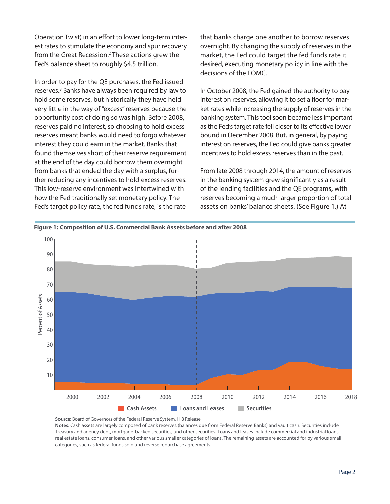Operation Twist) in an effort to lower long-term interest rates to stimulate the economy and spur recovery from the Great Recession.<sup>2</sup> These actions grew the Fed's balance sheet to roughly \$4.5 trillion.

In order to pay for the QE purchases, the Fed issued reserves.<sup>3</sup> Banks have always been required by law to hold some reserves, but historically they have held very little in the way of "excess" reserves because the opportunity cost of doing so was high. Before 2008, reserves paid no interest, so choosing to hold excess reserves meant banks would need to forgo whatever interest they could earn in the market. Banks that found themselves short of their reserve requirement at the end of the day could borrow them overnight from banks that ended the day with a surplus, further reducing any incentives to hold excess reserves. This low-reserve environment was intertwined with how the Fed traditionally set monetary policy. The Fed's target policy rate, the fed funds rate, is the rate

that banks charge one another to borrow reserves overnight. By changing the supply of reserves in the market, the Fed could target the fed funds rate it desired, executing monetary policy in line with the decisions of the FOMC.

In October 2008, the Fed gained the authority to pay interest on reserves, allowing it to set a floor for market rates while increasing the supply of reserves in the banking system. This tool soon became less important as the Fed's target rate fell closer to its effective lower bound in December 2008. But, in general, by paying interest on reserves, the Fed could give banks greater incentives to hold excess reserves than in the past.

From late 2008 through 2014, the amount of reserves in the banking system grew significantly as a result of the lending facilities and the QE programs, with reserves becoming a much larger proportion of total assets on banks' balance sheets. (See Figure 1.) At



Figure 1: Composition of U.S. Commercial Bank Assets before and after 2008

Source: Board of Governors of the Federal Reserve System, H.8 Release

**Notes:** Cash assets are largely composed of bank reserves (balances due from Federal Reserve Banks) and vault cash. Securities include Treasury and agency debt, mortgage-backed securities, and other securities. Loans and leases include commercial and industrial loans, real estate loans, consumer loans, and other various smaller categories of loans. The remaining assets are accounted for by various small categories, such as federal funds sold and reverse repurchase agreements.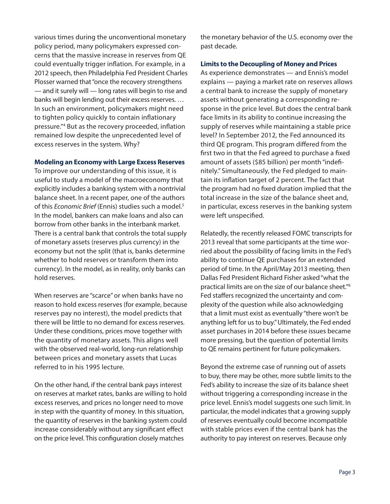various times during the unconventional monetary policy period, many policymakers expressed concerns that the massive increase in reserves from QE could eventually trigger inflation. For example, in a 2012 speech, then Philadelphia Fed President Charles Plosser warned that "once the recovery strengthens — and it surely will — long rates will begin to rise and banks will begin lending out their excess reserves. … In such an environment, policymakers might need to tighten policy quickly to contain inflationary pressure."4 But as the recovery proceeded, inflation remained low despite the unprecedented level of excess reserves in the system. Why?

## **Modeling an Economy with Large Excess Reserves**

To improve our understanding of this issue, it is useful to study a model of the macroeconomy that explicitly includes a banking system with a nontrivial balance sheet. In a recent paper, one of the authors of this *Economic Brief* (Ennis) studies such a model.5 In the model, bankers can make loans and also can borrow from other banks in the interbank market. There is a central bank that controls the total supply of monetary assets (reserves plus currency) in the economy but not the split (that is, banks determine whether to hold reserves or transform them into currency). In the model, as in reality, only banks can hold reserves.

When reserves are "scarce" or when banks have no reason to hold excess reserves (for example, because reserves pay no interest), the model predicts that there will be little to no demand for excess reserves. Under these conditions, prices move together with the quantity of monetary assets. This aligns well with the observed real-world, long-run relationship between prices and monetary assets that Lucas referred to in his 1995 lecture.

On the other hand, if the central bank pays interest on reserves at market rates, banks are willing to hold excess reserves, and prices no longer need to move in step with the quantity of money. In this situation, the quantity of reserves in the banking system could increase considerably without any significant effect on the price level. This configuration closely matches

the monetary behavior of the U.S. economy over the past decade.

## **Limits to the Decoupling of Money and Prices**

As experience demonstrates — and Ennis's model explains — paying a market rate on reserves allows a central bank to increase the supply of monetary assets without generating a corresponding response in the price level. But does the central bank face limits in its ability to continue increasing the supply of reserves while maintaining a stable price level? In September 2012, the Fed announced its third QE program. This program differed from the first two in that the Fed agreed to purchase a fixed amount of assets (\$85 billion) per month "indefinitely." Simultaneously, the Fed pledged to maintain its inflation target of 2 percent. The fact that the program had no fixed duration implied that the total increase in the size of the balance sheet and, in particular, excess reserves in the banking system were left unspecified.

Relatedly, the recently released FOMC transcripts for 2013 reveal that some participants at the time worried about the possibility of facing limits in the Fed's ability to continue QE purchases for an extended period of time. In the April/May 2013 meeting, then Dallas Fed President Richard Fisher asked "what the practical limits are on the size of our balance sheet."6 Fed staffers recognized the uncertainty and complexity of the question while also acknowledging that a limit must exist as eventually "there won't be anything left for us to buy." Ultimately, the Fed ended asset purchases in 2014 before these issues became more pressing, but the question of potential limits to QE remains pertinent for future policymakers.

Beyond the extreme case of running out of assets to buy, there may be other, more subtle limits to the Fed's ability to increase the size of its balance sheet without triggering a corresponding increase in the price level. Ennis's model suggests one such limit. In particular, the model indicates that a growing supply of reserves eventually could become incompatible with stable prices even if the central bank has the authority to pay interest on reserves. Because only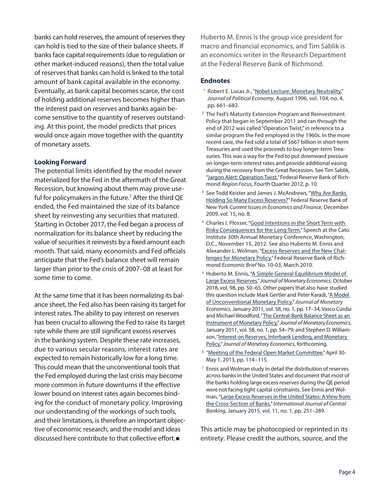banks can hold reserves, the amount of reserves they can hold is tied to the size of their balance sheets. If banks face capital requirements (due to regulation or other market-induced reasons), then the total value of reserves that banks can hold is linked to the total amount of bank capital available in the economy. Eventually, as bank capital becomes scarce, the cost of holding additional reserves becomes higher than the interest paid on reserves and banks again become sensitive to the quantity of reserves outstanding. At this point, the model predicts that prices would once again move together with the quantity of monetary assets.

## **Looking Forward**

The potential limits identified by the model never materialized for the Fed in the aftermath of the Great Recession, but knowing about them may prove useful for policymakers in the future.<sup>7</sup> After the third QE ended, the Fed maintained the size of its balance sheet by reinvesting any securities that matured. Starting in October 2017, the Fed began a process of normalization for its balance sheet by reducing the value of securities it reinvests by a fixed amount each month. That said, many economists and Fed officials anticipate that the Fed's balance sheet will remain larger than prior to the crisis of 2007–08 at least for some time to come.

At the same time that it has been normalizing its balance sheet, the Fed also has been raising its target for interest rates. The ability to pay interest on reserves has been crucial to allowing the Fed to raise its target rate while there are still significant excess reserves in the banking system. Despite these rate increases, due to various secular reasons, interest rates are expected to remain historically low for a long time. This could mean that the unconventional tools that the Fed employed during the last crisis may become more common in future downturns if the effective lower bound on interest rates again becomes binding for the conduct of monetary policy. Improving our understanding of the workings of such tools, and their limitations, is therefore an important objective of economic research, and the model and ideas discussed here contribute to that collective effort.

Huberto M. Ennis is the group vice president for macro and financial economics, and Tim Sablik is an economics writer in the Research Department at the Federal Reserve Bank of Richmond.

## **Endnotes**

- <sup>1</sup> Robert E. Lucas Jr., ["Nobel Lecture: Monetary Neutrality,](https://doi.org/10.1086/262037)" *Journal of Political Economy*, August 1996, vol. 104, no. 4, pp. 661–682.
- 2 The Fed's Maturity Extension Program and Reinvestment Policy that began in September 2011 and ran through the end of 2012 was called "Operation Twist," in reference to a similar program the Fed employed in the 1960s. In the more recent case, the Fed sold a total of \$667 billion in short-term Treasuries and used the proceeds to buy longer-term Treasuries. This was a way for the Fed to put downward pressure on longer-term interest rates and provide additional easing during the recovery from the Great Recession. See Tim Sablik, ["Jargon Alert: Operation Twist,](https://www.richmondfed.org/-/media/richmondfedorg/publications/research/econ_focus/2012/q4/pdf/jargon_alert.pdf)" Federal Reserve Bank of Richmond *Region Focus*, Fourth Quarter 2012, p. 10.
- <sup>3</sup> See Todd Keister and James J. McAndrews, "Why Are Banks [Holding So Many Excess Reserves?](https://www.newyorkfed.org/medialibrary/media/research/current_issues/ci15-8.pdf)" Federal Reserve Bank of New York *Current Issues in Economics and Finance*, December 2009, vol. 15, no. 8.
- 4 Charles I. Plosser, ["Good Intentions in the Short Term with](https://www.philadelphiafed.org/publications/speeches/plosser/2012/11-15-12_cato-institute)  [Risky Consequences for the Long Term,](https://www.philadelphiafed.org/publications/speeches/plosser/2012/11-15-12_cato-institute)" Speech at the Cato Institute 30th Annual Monetary Conference, Washington, D.C., November 15, 2012. See also Huberto M. Ennis and Alexander L. Wolman, "[Excess Reserves and the New Chal](https://www.richmondfed.org/publications/research/economic_brief/2010/eb_10-03)[lenges for Monetary Policy](https://www.richmondfed.org/publications/research/economic_brief/2010/eb_10-03)," Federal Reserve Bank of Richmond *Economic Brief* No. 10-03, March 2010.
- <sup>5</sup> Huberto M. Ennis, "A Simple General Equilibrium Model of [Large Excess Reserves,](https://doi.org/10.1016/j.jmoneco.2018.04.008)" *Journal of Monetary Economics*, October 2018, vol. 98, pp. 50–65. Other papers that also have studied this question include Mark Gertler and Peter Karadi, ["A Model](https://doi.org/10.1016/j.jmoneco.2010.10.004)  [of Unconventional Monetary Policy](https://doi.org/10.1016/j.jmoneco.2010.10.004)," *Journal of Monetary Economics*, January 2011, vol. 58, no. 1, pp. 17–34; Vasco Cúrdia and Michael Woodford, "[The Central-Bank Balance Sheet as an](https://doi.org/10.1016/j.jmoneco.2010.09.011)  [Instrument of Monetary Policy,](https://doi.org/10.1016/j.jmoneco.2010.09.011)" *Journal of Monetary Economics*, January 2011, vol. 58, no. 1, pp. 54–79; and Stephen D. Williamson, "Interest on Reserves, Interbank Lending, and Monetary [Policy](https://doi.org/10.1016/j.jmoneco.2018.07.005)," *Journal of Monetary Economics*, forthcoming.
- 6 "[Meeting of the Federal Open Market Committee](https://www.federalreserve.gov/monetarypolicy/files/FOMC20130501meeting.pdf)," April 30- May 1, 2013, pp. 114–115.
- $7$  Ennis and Wolman study in detail the distribution of reserves across banks in the United States and document that most of the banks holding large excess reserves during the QE period were not facing tight capital constraints. See Ennis and Wolman, "[Large Excess Reserves in the United States: A View from](https://www.ijcb.org/journal/ijcb15q1a8.htm)  [the Cross-Section of Banks,](https://www.ijcb.org/journal/ijcb15q1a8.htm)" *International Journal of Central Banking*, January 2015, vol. 11, no. 1, pp. 251–289.

This article may be photocopied or reprinted in its entirety. Please credit the authors, source, and the